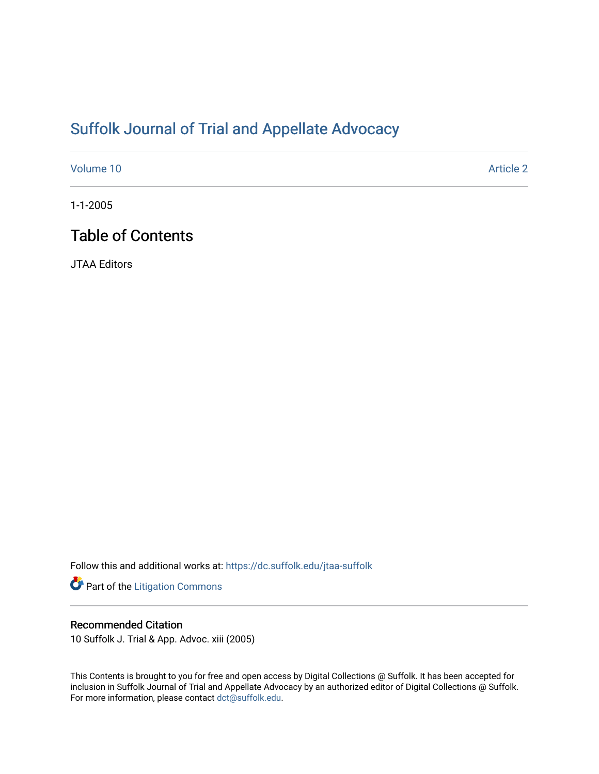# [Suffolk Journal of Trial and Appellate Advocacy](https://dc.suffolk.edu/jtaa-suffolk)

[Volume 10](https://dc.suffolk.edu/jtaa-suffolk/vol10) [Article 2](https://dc.suffolk.edu/jtaa-suffolk/vol10/iss1/2) 

1-1-2005

# Table of Contents

JTAA Editors

Follow this and additional works at: [https://dc.suffolk.edu/jtaa-suffolk](https://dc.suffolk.edu/jtaa-suffolk?utm_source=dc.suffolk.edu%2Fjtaa-suffolk%2Fvol10%2Fiss1%2F2&utm_medium=PDF&utm_campaign=PDFCoverPages) 

Part of the [Litigation Commons](http://network.bepress.com/hgg/discipline/910?utm_source=dc.suffolk.edu%2Fjtaa-suffolk%2Fvol10%2Fiss1%2F2&utm_medium=PDF&utm_campaign=PDFCoverPages)

### Recommended Citation

10 Suffolk J. Trial & App. Advoc. xiii (2005)

This Contents is brought to you for free and open access by Digital Collections @ Suffolk. It has been accepted for inclusion in Suffolk Journal of Trial and Appellate Advocacy by an authorized editor of Digital Collections @ Suffolk. For more information, please contact [dct@suffolk.edu](mailto:dct@suffolk.edu).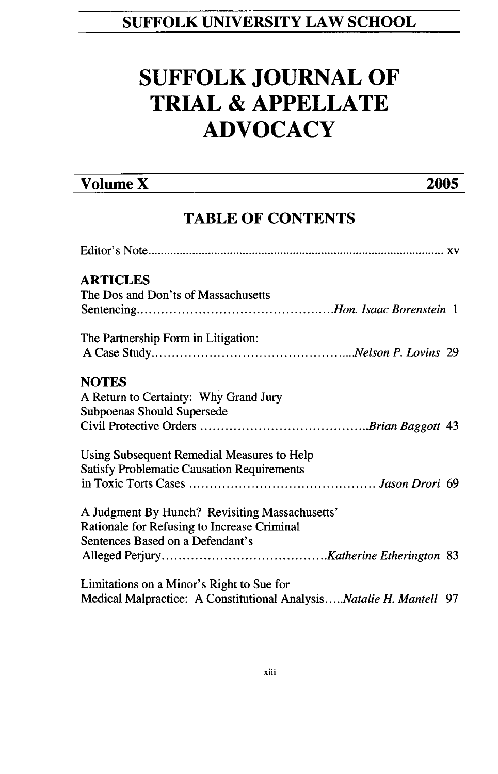## **SUFFOLK UNIVERSITY LAW SCHOOL**

# **SUFFOLK JOURNAL OF TRIAL & APPELLATE ADVOCACY**

## **Volume X 2005**

## **TABLE OF CONTENTS**

| <b>ARTICLES</b>                                                     |  |
|---------------------------------------------------------------------|--|
| The Dos and Don'ts of Massachusetts                                 |  |
|                                                                     |  |
| The Partnership Form in Litigation:                                 |  |
|                                                                     |  |
| <b>NOTES</b>                                                        |  |
| A Return to Certainty: Why Grand Jury                               |  |
| Subpoenas Should Supersede                                          |  |
|                                                                     |  |
| Using Subsequent Remedial Measures to Help                          |  |
| <b>Satisfy Problematic Causation Requirements</b>                   |  |
|                                                                     |  |
| A Judgment By Hunch? Revisiting Massachusetts'                      |  |
| Rationale for Refusing to Increase Criminal                         |  |
| Sentences Based on a Defendant's                                    |  |
|                                                                     |  |
| Limitations on a Minor's Right to Sue for                           |  |
| Medical Malpractice: A Constitutional AnalysisNatalie H. Mantell 97 |  |